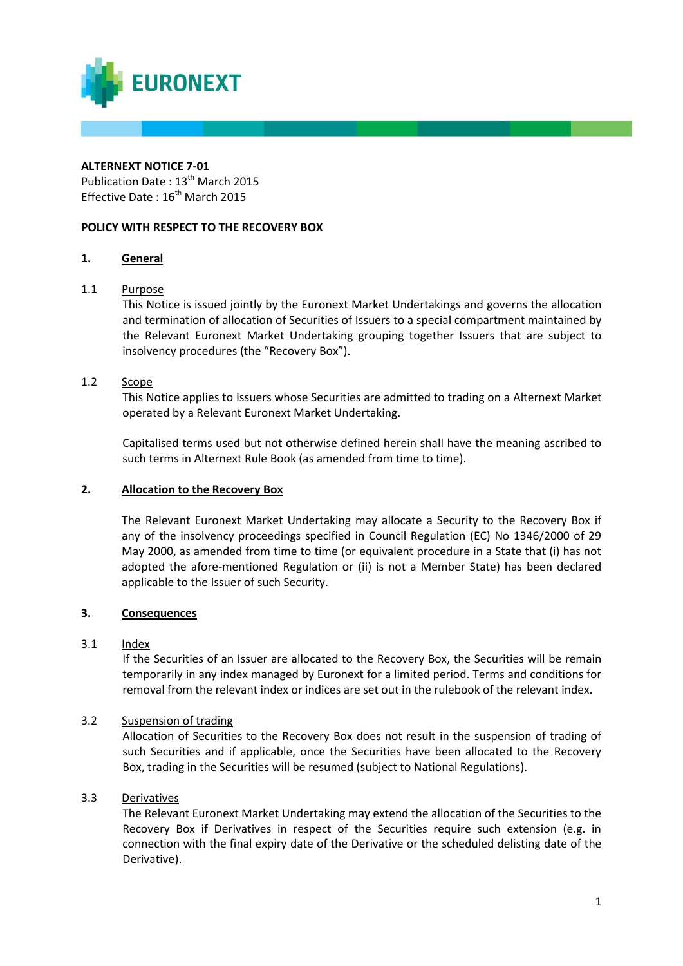

# **ALTERNEXT NOTICE 7-01**

Publication Date: 13<sup>th</sup> March 2015 Effective Date: 16<sup>th</sup> March 2015

# **POLICY WITH RESPECT TO THE RECOVERY BOX**

# **1. General**

# 1.1 Purpose

This Notice is issued jointly by the Euronext Market Undertakings and governs the allocation and termination of allocation of Securities of Issuers to a special compartment maintained by the Relevant Euronext Market Undertaking grouping together Issuers that are subject to insolvency procedures (the "Recovery Box").

# 1.2 Scope

This Notice applies to Issuers whose Securities are admitted to trading on a Alternext Market operated by a Relevant Euronext Market Undertaking.

Capitalised terms used but not otherwise defined herein shall have the meaning ascribed to such terms in Alternext Rule Book (as amended from time to time).

### **2. Allocation to the Recovery Box**

The Relevant Euronext Market Undertaking may allocate a Security to the Recovery Box if any of the insolvency proceedings specified in Council Regulation (EC) No 1346/2000 of 29 May 2000, as amended from time to time (or equivalent procedure in a State that (i) has not adopted the afore-mentioned Regulation or (ii) is not a Member State) has been declared applicable to the Issuer of such Security.

### **3. Consequences**

### 3.1 Index

If the Securities of an Issuer are allocated to the Recovery Box, the Securities will be remain temporarily in any index managed by Euronext for a limited period. Terms and conditions for removal from the relevant index or indices are set out in the rulebook of the relevant index.

# 3.2 Suspension of trading

Allocation of Securities to the Recovery Box does not result in the suspension of trading of such Securities and if applicable, once the Securities have been allocated to the Recovery Box, trading in the Securities will be resumed (subject to National Regulations).

# 3.3 Derivatives

The Relevant Euronext Market Undertaking may extend the allocation of the Securities to the Recovery Box if Derivatives in respect of the Securities require such extension (e.g. in connection with the final expiry date of the Derivative or the scheduled delisting date of the Derivative).